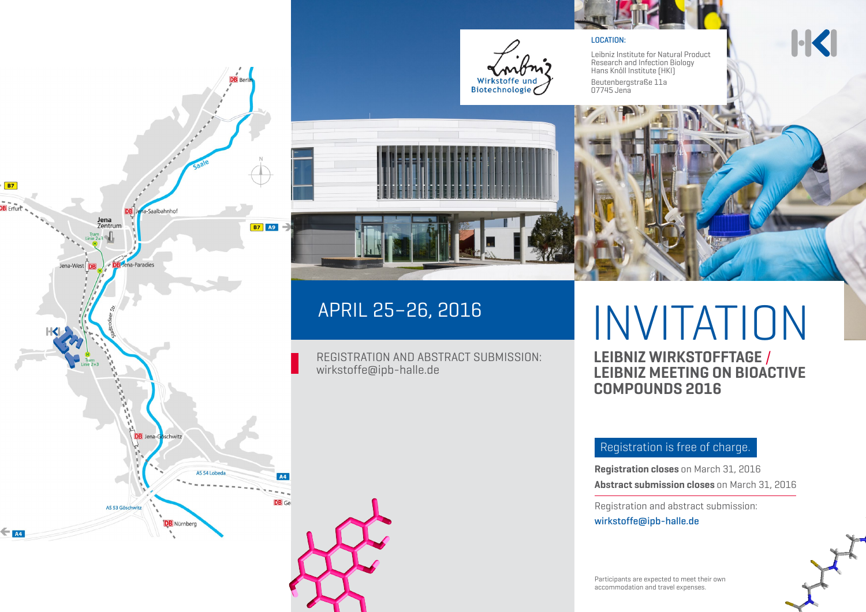

#### LOCATION:

Leibniz Institute for Natural Product Research and Infection Biology Hans Knöll Institute (HKI) Beutenbergstraße 11a 07745 Jena

# **H**





REGISTRATION AND ABSTRACT SUBMISSION:

wirkstoffe@ipb-halle.de

APRIL 25–26, 2016

# INVITATION

**LEIBNIZ WIRKSTOFFTAGE** / **LEIBNIZ MEETING ON BIOACTIVE COMPOUNDS 2016**

### Registration is free of charge.

**Registration closes** on March 31, 2016 **Abstract submission closes** on March 31, 2016

Registration and abstract submission: wirkstoffe@ipb-halle.de

Participants are expected to meet their own accommodation and travel expenses.